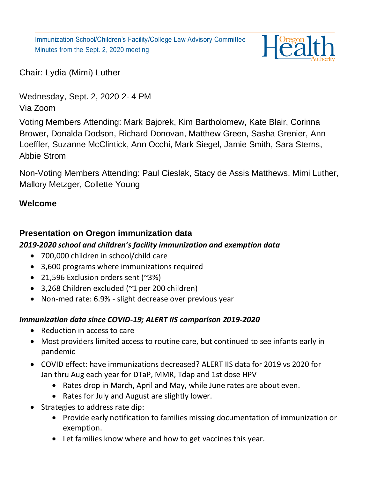

Chair: Lydia (Mimi) Luther

Wednesday, Sept. 2, 2020 2- 4 PM Via Zoom

Voting Members Attending: Mark Bajorek, Kim Bartholomew, Kate Blair, Corinna Brower, Donalda Dodson, Richard Donovan, Matthew Green, Sasha Grenier, Ann Loeffler, Suzanne McClintick, Ann Occhi, Mark Siegel, Jamie Smith, Sara Sterns, Abbie Strom

Non-Voting Members Attending: Paul Cieslak, Stacy de Assis Matthews, Mimi Luther, Mallory Metzger, Collette Young

### **Welcome**

# **Presentation on Oregon immunization data**

#### *2019-2020 school and children's facility immunization and exemption data*

- 700,000 children in school/child care
- 3,600 programs where immunizations required
- 21,596 Exclusion orders sent (~3%)
- 3,268 Children excluded (~1 per 200 children)
- Non-med rate: 6.9% slight decrease over previous year

#### *Immunization data since COVID-19; ALERT IIS comparison 2019-2020*

- Reduction in access to care
- Most providers limited access to routine care, but continued to see infants early in pandemic
- COVID effect: have immunizations decreased? ALERT IIS data for 2019 vs 2020 for Jan thru Aug each year for DTaP, MMR, Tdap and 1st dose HPV
	- Rates drop in March, April and May, while June rates are about even.
	- Rates for July and August are slightly lower.
- Strategies to address rate dip:
	- Provide early notification to families missing documentation of immunization or exemption.
	- Let families know where and how to get vaccines this year.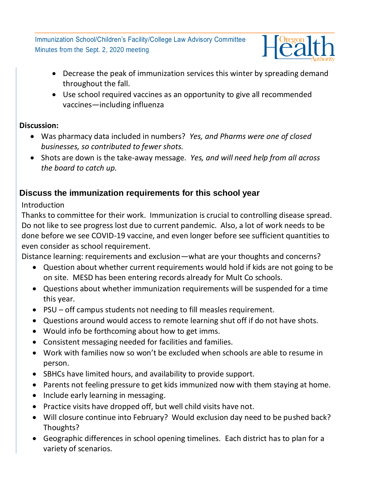

- Decrease the peak of immunization services this winter by spreading demand throughout the fall.
- Use school required vaccines as an opportunity to give all recommended vaccines—including influenza

### **Discussion:**

- Was pharmacy data included in numbers? *Yes, and Pharms were one of closed businesses, so contributed to fewer shots.*
- Shots are down is the take-away message. *Yes, and will need help from all across the board to catch up.*

# **Discuss the immunization requirements for this school year**

# Introduction

Thanks to committee for their work. Immunization is crucial to controlling disease spread. Do not like to see progress lost due to current pandemic. Also, a lot of work needs to be done before we see COVID-19 vaccine, and even longer before see sufficient quantities to even consider as school requirement.

Distance learning: requirements and exclusion—what are your thoughts and concerns?

- Question about whether current requirements would hold if kids are not going to be on site. MESD has been entering records already for Mult Co schools.
- Questions about whether immunization requirements will be suspended for a time this year.
- PSU off campus students not needing to fill measles requirement.
- Questions around would access to remote learning shut off if do not have shots.
- Would info be forthcoming about how to get imms.
- Consistent messaging needed for facilities and families.
- Work with families now so won't be excluded when schools are able to resume in person.
- SBHCs have limited hours, and availability to provide support.
- Parents not feeling pressure to get kids immunized now with them staying at home.
- Include early learning in messaging.
- Practice visits have dropped off, but well child visits have not.
- Will closure continue into February? Would exclusion day need to be pushed back? Thoughts?
- Geographic differences in school opening timelines. Each district has to plan for a variety of scenarios.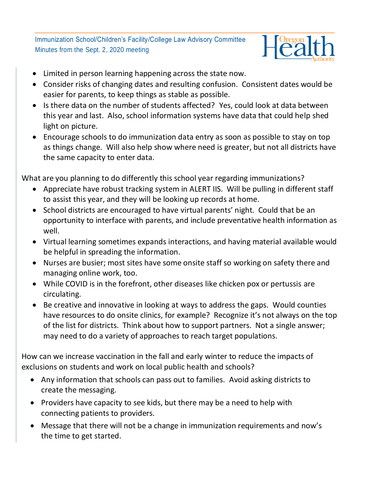

- Limited in person learning happening across the state now.
- Consider risks of changing dates and resulting confusion. Consistent dates would be easier for parents, to keep things as stable as possible.
- Is there data on the number of students affected? Yes, could look at data between this year and last. Also, school information systems have data that could help shed light on picture.
- Encourage schools to do immunization data entry as soon as possible to stay on top as things change. Will also help show where need is greater, but not all districts have the same capacity to enter data.

What are you planning to do differently this school year regarding immunizations?

- Appreciate have robust tracking system in ALERT IIS. Will be pulling in different staff to assist this year, and they will be looking up records at home.
- School districts are encouraged to have virtual parents' night. Could that be an opportunity to interface with parents, and include preventative health information as well.
- Virtual learning sometimes expands interactions, and having material available would be helpful in spreading the information.
- Nurses are busier; most sites have some onsite staff so working on safety there and managing online work, too.
- While COVID is in the forefront, other diseases like chicken pox or pertussis are circulating.
- Be creative and innovative in looking at ways to address the gaps. Would counties have resources to do onsite clinics, for example? Recognize it's not always on the top of the list for districts. Think about how to support partners. Not a single answer; may need to do a variety of approaches to reach target populations.

How can we increase vaccination in the fall and early winter to reduce the impacts of exclusions on students and work on local public health and schools?

- Any information that schools can pass out to families. Avoid asking districts to create the messaging.
- Providers have capacity to see kids, but there may be a need to help with connecting patients to providers.
- Message that there will not be a change in immunization requirements and now's the time to get started.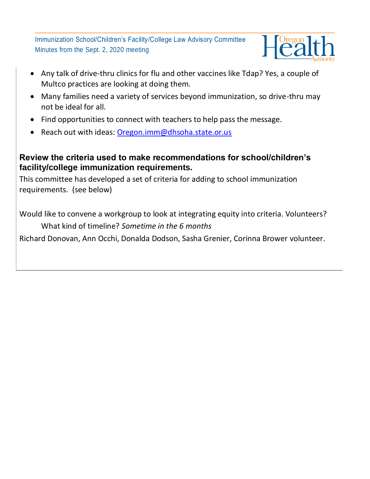

- Any talk of drive-thru clinics for flu and other vaccines like Tdap? Yes, a couple of Multco practices are looking at doing them.
- Many families need a variety of services beyond immunization, so drive-thru may not be ideal for all.
- Find opportunities to connect with teachers to help pass the message.
- Reach out with ideas: [Oregon.imm@dhsoha.state.or.us](mailto:Oregon.imm@dhsoha.state.or.us)

### **Review the criteria used to make recommendations for school/children's facility/college immunization requirements.**

This committee has developed a set of criteria for adding to school immunization requirements. (see below)

Would like to convene a workgroup to look at integrating equity into criteria. Volunteers? What kind of timeline? *Sometime in the 6 months* Richard Donovan, Ann Occhi, Donalda Dodson, Sasha Grenier, Corinna Brower volunteer.